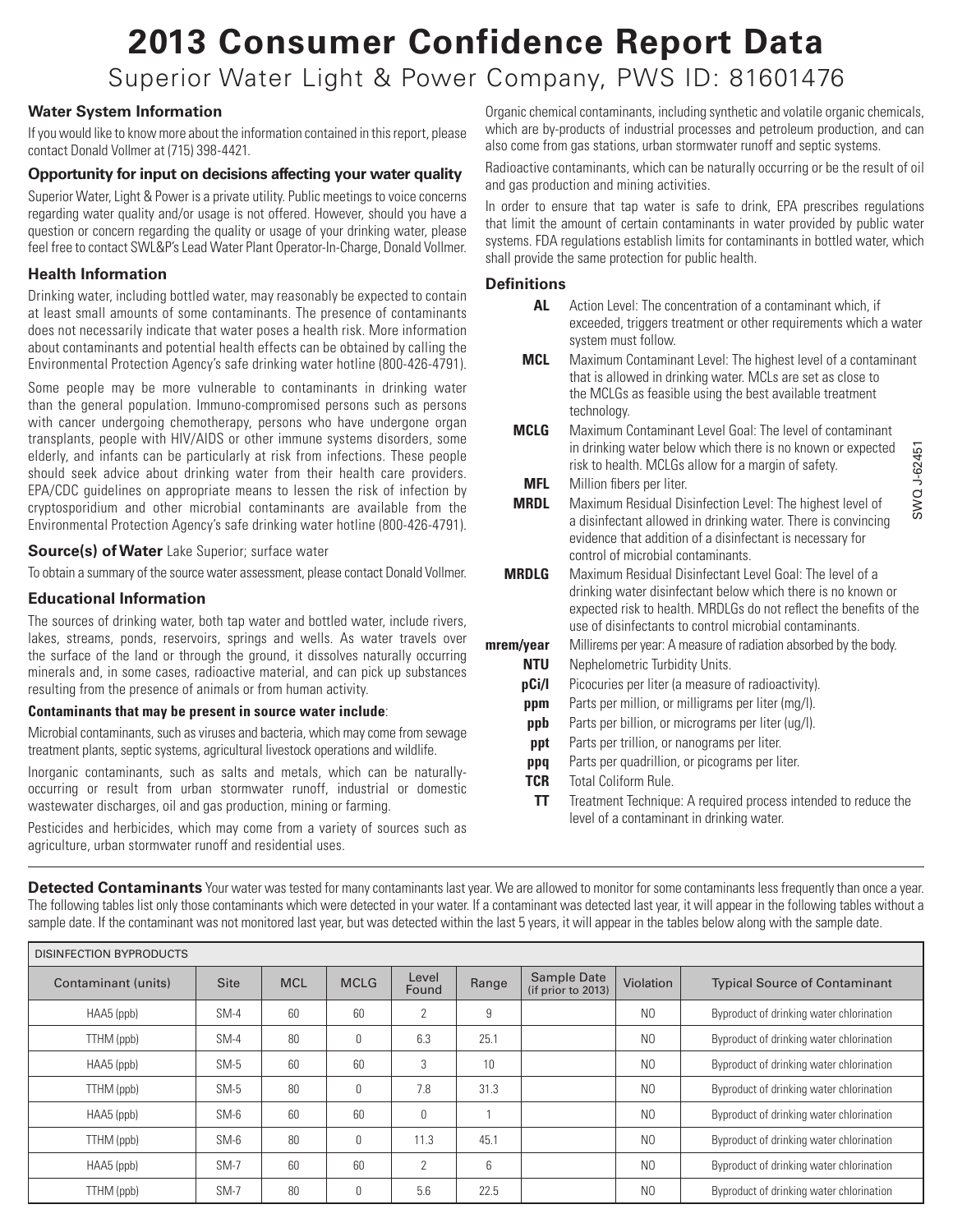# **2013 Consumer Confidence Report Data** Superior Water Light & Power Company, PWS ID: 81601476

### **Water System Information**

If you would like to know more about the information contained in this report, please contact Donald Vollmer at (715) 398-4421.

#### **Opportunity for input on decisions affecting your water quality**

Superior Water, Light & Power is a private utility. Public meetings to voice concerns regarding water quality and/or usage is not offered. However, should you have a question or concern regarding the quality or usage of your drinking water, please feel free to contact SWL&P's Lead Water Plant Operator-In-Charge, Donald Vollmer.

#### **Health Information**

Drinking water, including bottled water, may reasonably be expected to contain at least small amounts of some contaminants. The presence of contaminants does not necessarily indicate that water poses a health risk. More information about contaminants and potential health effects can be obtained by calling the Environmental Protection Agency's safe drinking water hotline (800-426-4791).

Some people may be more vulnerable to contaminants in drinking water than the general population. Immuno-compromised persons such as persons with cancer undergoing chemotherapy, persons who have undergone organ transplants, people with HIV/AIDS or other immune systems disorders, some elderly, and infants can be particularly at risk from infections. These people should seek advice about drinking water from their health care providers. EPA/CDC guidelines on appropriate means to lessen the risk of infection by cryptosporidium and other microbial contaminants are available from the Environmental Protection Agency's safe drinking water hotline (800-426-4791).

#### **Source(s) of Water** Lake Superior; surface water

To obtain a summary of the source water assessment, please contact Donald Vollmer.

#### **Educational Information**

The sources of drinking water, both tap water and bottled water, include rivers, lakes, streams, ponds, reservoirs, springs and wells. As water travels over the surface of the land or through the ground, it dissolves naturally occurring minerals and, in some cases, radioactive material, and can pick up substances resulting from the presence of animals or from human activity.

#### **Contaminants that may be present in source water include**:

Microbial contaminants, such as viruses and bacteria, which may come from sewage treatment plants, septic systems, agricultural livestock operations and wildlife.

Inorganic contaminants, such as salts and metals, which can be naturallyoccurring or result from urban stormwater runoff, industrial or domestic wastewater discharges, oil and gas production, mining or farming.

Pesticides and herbicides, which may come from a variety of sources such as agriculture, urban stormwater runoff and residential uses.

Organic chemical contaminants, including synthetic and volatile organic chemicals, which are by-products of industrial processes and petroleum production, and can also come from gas stations, urban stormwater runoff and septic systems.

Radioactive contaminants, which can be naturally occurring or be the result of oil and gas production and mining activities.

In order to ensure that tap water is safe to drink, EPA prescribes regulations that limit the amount of certain contaminants in water provided by public water systems. FDA regulations establish limits for contaminants in bottled water, which shall provide the same protection for public health.

#### **Definitions**

| AL           | Action Level: The concentration of a contaminant which, if<br>exceeded, triggers treatment or other requirements which a water<br>system must follow.                                                                                                     |
|--------------|-----------------------------------------------------------------------------------------------------------------------------------------------------------------------------------------------------------------------------------------------------------|
| <b>MCL</b>   | Maximum Contaminant Level: The highest level of a contaminant<br>that is allowed in drinking water. MCLs are set as close to<br>the MCLGs as feasible using the best available treatment<br>technology.                                                   |
| <b>MCLG</b>  | Maximum Contaminant Level Goal: The level of contaminant<br>in drinking water below which there is no known or expected<br>SWQ J-62451<br>risk to health. MCLGs allow for a margin of safety.                                                             |
| <b>MFL</b>   | Million fibers per liter.                                                                                                                                                                                                                                 |
| <b>MRDL</b>  | Maximum Residual Disinfection Level: The highest level of<br>a disinfectant allowed in drinking water. There is convincing<br>evidence that addition of a disinfectant is necessary for<br>control of microbial contaminants                              |
| <b>MRDLG</b> | Maximum Residual Disinfectant Level Goal: The level of a<br>drinking water disinfectant below which there is no known or<br>expected risk to health. MRDLGs do not reflect the benefits of the<br>use of disinfectants to control microbial contaminants. |
| mrem/year    | Millirems per year: A measure of radiation absorbed by the body.                                                                                                                                                                                          |
| <b>NTU</b>   | Nephelometric Turbidity Units.                                                                                                                                                                                                                            |
| pCi/l        | Picocuries per liter (a measure of radioactivity).                                                                                                                                                                                                        |
| ppm          | Parts per million, or milligrams per liter (mg/l).                                                                                                                                                                                                        |
| ppb          | Parts per billion, or micrograms per liter (ug/l).                                                                                                                                                                                                        |
| ppt          | Parts per trillion, or nanograms per liter.                                                                                                                                                                                                               |
| ppq          | Parts per quadrillion, or picograms per liter.                                                                                                                                                                                                            |
| <b>TCR</b>   | Total Coliform Bule                                                                                                                                                                                                                                       |
| TΤ           | Treatment Technique: A required process intended to reduce the<br>level of a contaminant in drinking water.                                                                                                                                               |

**Detected Contaminants** Your water was tested for many contaminants last year. We are allowed to monitor for some contaminants less frequently than once a year. The following tables list only those contaminants which were detected in your water. If a contaminant was detected last year, it will appear in the following tables without a sample date. If the contaminant was not monitored last year, but was detected within the last 5 years, it will appear in the tables below along with the sample date.

| DISINFECTION BYPRODUCTS |             |            |             |                |       |                                   |                |                                          |
|-------------------------|-------------|------------|-------------|----------------|-------|-----------------------------------|----------------|------------------------------------------|
| Contaminant (units)     | <b>Site</b> | <b>MCL</b> | <b>MCLG</b> | Level<br>Found | Range | Sample Date<br>(if prior to 2013) | Violation      | <b>Typical Source of Contaminant</b>     |
| HAA5 (ppb)              | $SM-4$      | 60         | 60          |                | 9     |                                   | N <sub>0</sub> | Byproduct of drinking water chlorination |
| TTHM (ppb)              | $SM-4$      | 80         | 0           | 6.3            | 25.1  |                                   | N <sub>0</sub> | Byproduct of drinking water chlorination |
| HAA5 (ppb)              | $SM-5$      | 60         | 60          | 3              | 10    |                                   | N <sub>0</sub> | Byproduct of drinking water chlorination |
| TTHM (ppb)              | $SM-5$      | 80         | $\Omega$    | 7.8            | 31.3  |                                   | N <sub>0</sub> | Byproduct of drinking water chlorination |
| HAA5 (ppb)              | $SM-6$      | 60         | 60          |                |       |                                   | N <sub>0</sub> | Byproduct of drinking water chlorination |
| TTHM (ppb)              | $SM-6$      | 80         | $\Omega$    | 11.3           | 45.7  |                                   | N <sub>0</sub> | Byproduct of drinking water chlorination |
| HAA5 (ppb)              | $SM-7$      | 60         | 60          | $\gamma$       | 6     |                                   | N <sub>0</sub> | Byproduct of drinking water chlorination |
| TTHM (ppb)              | $SM-7$      | 80         | 0           | 5.6            | 22.5  |                                   | N <sub>0</sub> | Byproduct of drinking water chlorination |